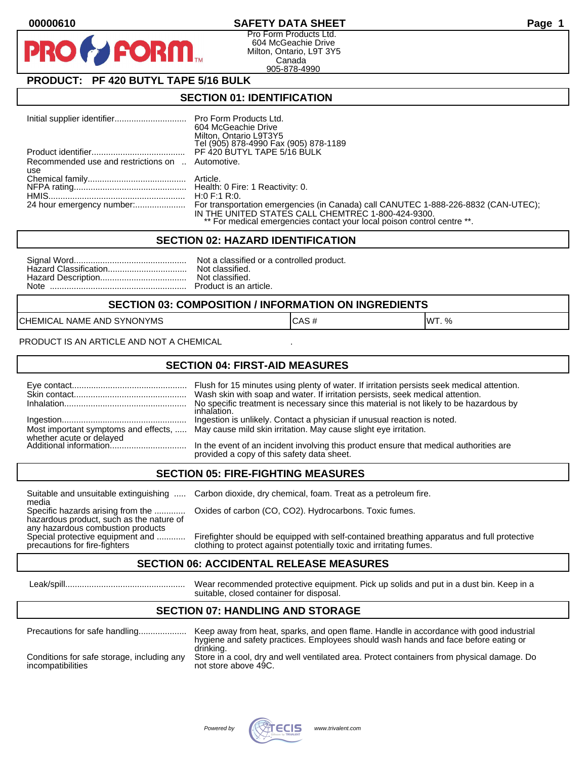## **00000610 SAFETY DATA SHEET Page 1**

Pro Form Products Ltd. 604 McGeachie Drive Milton, Ontario, L9T 3Y5 Canada 905-878-4990

# **PRODUCT: PF 420 BUTYL TAPE 5/16 BULK**

**FORM** 

#### **SECTION 01: IDENTIFICATION**

|                                                  | 604 McGeachie Drive<br>Milton, Ontario L9T3Y5<br>Tel (905) 878-4990 Fax (905) 878-1189                                        |
|--------------------------------------------------|-------------------------------------------------------------------------------------------------------------------------------|
|                                                  |                                                                                                                               |
| Recommended use and restrictions on  Automotive. |                                                                                                                               |
| use                                              |                                                                                                                               |
|                                                  |                                                                                                                               |
|                                                  |                                                                                                                               |
|                                                  |                                                                                                                               |
|                                                  | IN THE UNITED STATES CALL CHEMTREC 1-800-424-9300.<br>** For medical emergencies contact your local poison control centre **. |

#### **SECTION 02: HAZARD IDENTIFICATION**

#### **SECTION 03: COMPOSITION / INFORMATION ON INGREDIENTS**

CHEMICAL NAME AND SYNONYMS CASE CAS # CAS # WT. %

PRODUCT IS AN ARTICLE AND NOT A CHEMICAL

### **SECTION 04: FIRST-AID MEASURES**

|                                                    | Wash skin with soap and water. If irritation persists, seek medical attention.<br>No specific treatment is necessary since this material is not likely to be hazardous by<br>inhalation. |
|----------------------------------------------------|------------------------------------------------------------------------------------------------------------------------------------------------------------------------------------------|
|                                                    | Ingestion is unlikely. Contact a physician if unusual reaction is noted.<br>Most important symptoms and effects,  May cause mild skin irritation. May cause slight eye irritation.       |
| whether acute or delayed<br>Additional information | In the event of an incident involving this product ensure that medical authorities are<br>provided a copy of this safety data sheet.                                                     |

### **SECTION 05: FIRE-FIGHTING MEASURES**

media<br>Specific hazards arising from the .............

hazardous product, such as the nature of any hazardous combustion products<br>Special protective equipment and ............

Suitable and unsuitable extinguishing ..... Carbon dioxide, dry chemical, foam. Treat as a petroleum fire.

Oxides of carbon (CO, CO2). Hydrocarbons. Toxic fumes.

Special protective equipment and ............ Firefighter should be equipped with self-contained breathing apparatus and full protective<br>precautions for fire-fighters on the clothing to protect against potentially toxic an clothing to protect against potentially toxic and irritating fumes.

### **SECTION 06: ACCIDENTAL RELEASE MEASURES**

 Leak/spill.................................................. Wear recommended protective equipment. Pick up solids and put in a dust bin. Keep in a suitable, closed container for disposal.

## **SECTION 07: HANDLING AND STORAGE**

| Precautions for safe handling              | Keep away from heat, sparks, and open flame. Handle in accordance with good industrial<br>hygiene and safety practices. Employees should wash hands and face before eating or<br>drinking. |
|--------------------------------------------|--------------------------------------------------------------------------------------------------------------------------------------------------------------------------------------------|
| Conditions for safe storage, including any | Store in a cool, dry and well ventilated area. Protect containers from physical damage. Do                                                                                                 |
| incompatibilities                          | not store above 49C.                                                                                                                                                                       |

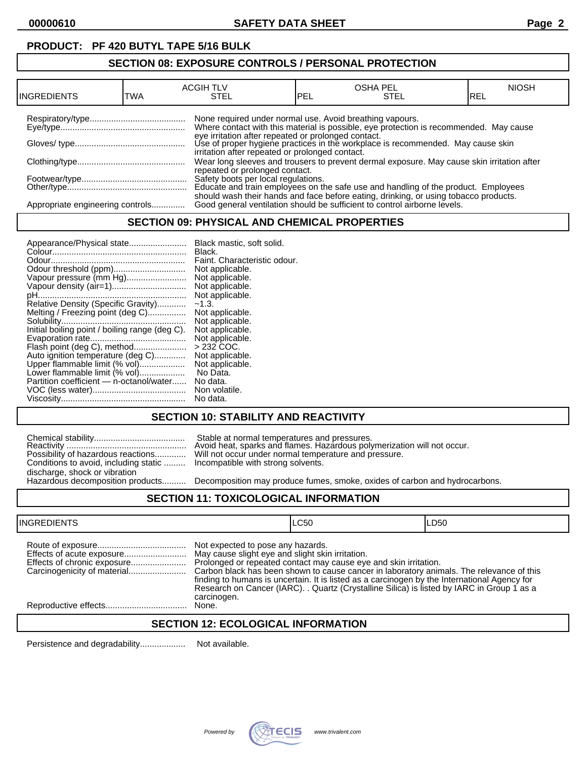# **PRODUCT: PF 420 BUTYL TAPE 5/16 BULK**

## **SECTION 08: EXPOSURE CONTROLS / PERSONAL PROTECTION**

| <b>INGREDIENTS</b>               | TWA | <b>ACGIH TLV</b><br>STEL                                 | <b>PEL</b> | <b>OSHA PEL</b><br><b>STEL</b>                                                                                                                                                                                                   | <b>NIOSH</b><br>IREL |
|----------------------------------|-----|----------------------------------------------------------|------------|----------------------------------------------------------------------------------------------------------------------------------------------------------------------------------------------------------------------------------|----------------------|
|                                  |     | None required under normal use. Avoid breathing vapours. |            | Where contact with this material is possible, eye protection is recommended. May cause<br>eye irritation after repeated or prolonged contact.<br>Use of proper hygiene practices in the workplace is recommended. May cause skin |                      |
|                                  |     | irritation after repeated or prolonged contact.          |            | Wear long sleeves and trousers to prevent dermal exposure. May cause skin irritation after                                                                                                                                       |                      |
|                                  |     | repeated or prolonged contact.                           |            | Safety boots per local regulations.<br>Educate and train employees on the safe use and handling of the product. Employees                                                                                                        |                      |
| Appropriate engineering controls |     |                                                          |            | should wash their hands and face before eating, drinking, or using tobacco products.<br>Good general ventilation should be sufficient to control airborne levels.                                                                |                      |

### **SECTION 09: PHYSICAL AND CHEMICAL PROPERTIES**

## **SECTION 10: STABILITY AND REACTIVITY**

|                                       | Stable at normal temperatures and pressures.<br>Avoid heat, sparks and flames. Hazardous poly                           |
|---------------------------------------|-------------------------------------------------------------------------------------------------------------------------|
| Conditions to avoid, including static | Possibility of hazardous reactions Will not occur under normal temperature and pr<br>Incompatible with strong solvents. |
| discharge, shock or vibration         |                                                                                                                         |
| Hazardous decomposition products      | Decomposition may produce fumes, smoke, oxi                                                                             |

Reactivity .................................................. Avoid heat, sparks and flames. Hazardous polymerization will not occur. Possibility of hazardous reactions............. Will not occur under normal temperature and pressure. Incompatible with strong solvents.

Decomposition may produce fumes, smoke, oxides of carbon and hydrocarbons.

### **SECTION 11: TOXICOLOGICAL INFORMATION**

| <b>INGREDIENTS</b>          |                                                                                                      | <b>LC50</b>                                                                                                                                                                                                                                                                                                                                                | ILD50 |
|-----------------------------|------------------------------------------------------------------------------------------------------|------------------------------------------------------------------------------------------------------------------------------------------------------------------------------------------------------------------------------------------------------------------------------------------------------------------------------------------------------------|-------|
| Effects of chronic exposure | Not expected to pose any hazards.<br>May cause slight eye and slight skin irritation.<br>carcinogen. | Prolonged or repeated contact may cause eye and skin irritation.<br>Carbon black has been shown to cause cancer in laboratory animals. The relevance of this<br>finding to humans is uncertain. It is listed as a carcinogen by the International Agency for<br>Research on Cancer (IARC). . Quartz (Crystalline Silica) is listed by IARC in Group 1 as a |       |
|                             | None.                                                                                                |                                                                                                                                                                                                                                                                                                                                                            |       |
|                             |                                                                                                      |                                                                                                                                                                                                                                                                                                                                                            |       |

## **SECTION 12: ECOLOGICAL INFORMATION**

Persistence and degradability................... Not available.